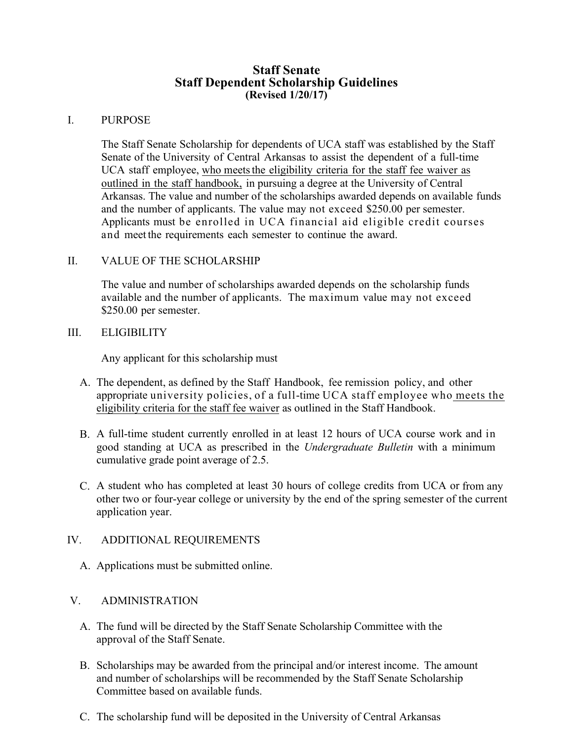## **Staff Senate Staff Dependent Scholarship Guidelines (Revised 1/20/17)**

## I. PURPOSE

The Staff Senate Scholarship for dependents of UCA staff was established by the Staff Senate of the University of Central Arkansas to assist the dependent of a full-time UCA staff employee, who meets the eligibility criteria for the staff fee waiver as outlined in the staff handbook, in pursuing a degree at the University of Central Arkansas. The value and number of the scholarships awarded depends on available funds and the number of applicants. The value may not exceed \$250.00 per semester. Applicants must be enrolled in UCA financial aid eligible credit courses and meet the requirements each semester to continue the award.

## II. VALUE OF THE SCHOLARSHIP

The value and number of scholarships awarded depends on the scholarship funds available and the number of applicants. The maximum value may not exceed \$250.00 per semester.

## III. ELIGIBILITY

Any applicant for this scholarship must

- A. The dependent, as defined by the Staff Handbook, fee remission policy, and other appropriate university policies, of a full-time UCA staff employee who meets the eligibility criteria for the staff fee waiver as outlined in the Staff Handbook.
- B. A full-time student currently enrolled in at least 12 hours of UCA course work and in good standing at UCA as prescribed in the *Undergraduate Bulletin* with a minimum cumulative grade point average of 2.5.
- C. A student who has completed at least 30 hours of college credits from UCA or from any other two or four-year college or university by the end of the spring semester of the current application year.

#### IV. ADDITIONAL REQUIREMENTS

A. Applications must be submitted online.

# V. ADMINISTRATION

- A. The fund will be directed by the Staff Senate Scholarship Committee with the approval of the Staff Senate.
- B. Scholarships may be awarded from the principal and/or interest income. The amount and number of scholarships will be recommended by the Staff Senate Scholarship Committee based on available funds.
- C. The scholarship fund will be deposited in the University of Central Arkansas